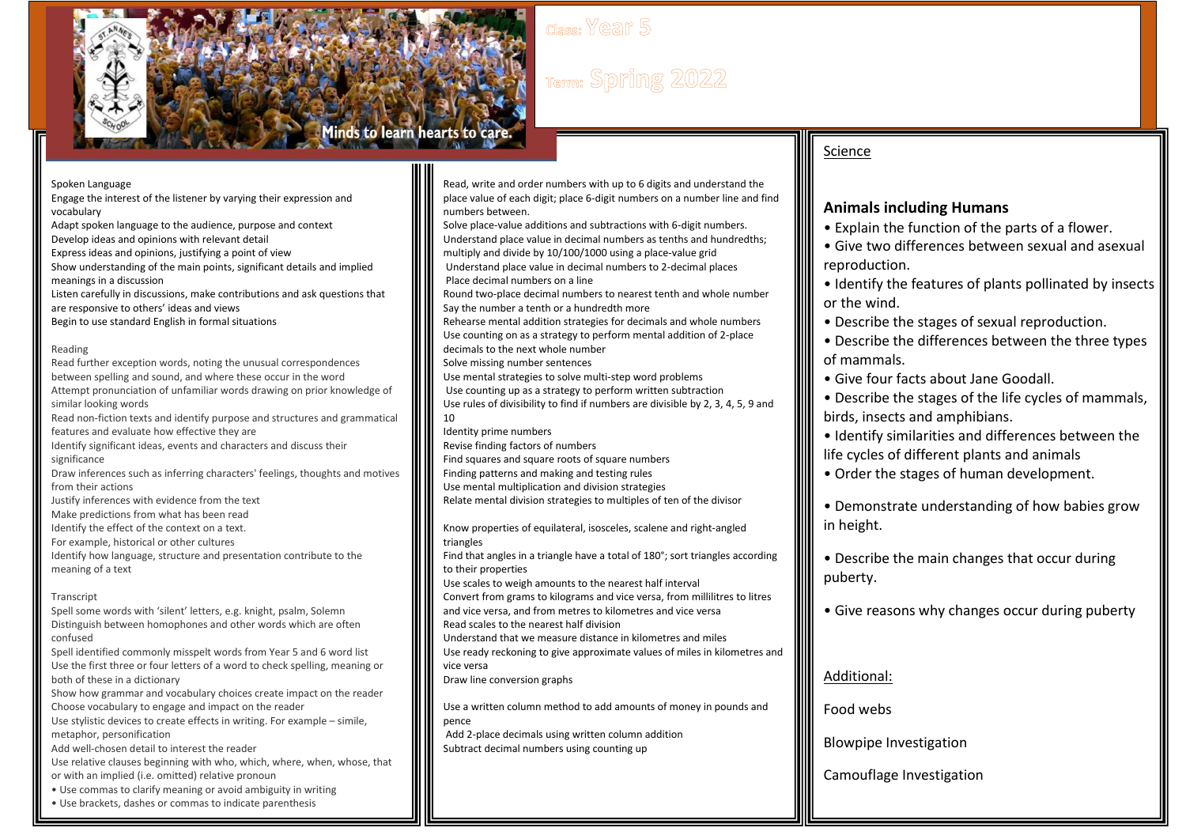

# Term: Spring 2022

Spoken Language

I

Engage the interest of the listener by varying their expression and vocabulary Adapt spoken language to the audience, purpose and context

Develop ideas and opinions with relevant detail

Express ideas and opinions, justifying a point of view Show understanding of the main points, significant details and implied meanings in a discussion

Listen carefully in discussions, make contributions and ask questions that are responsive to others' ideas and views Begin to use standard English in formal situations

Reading

Read further exception words, noting the unusual correspondences between spelling and sound, and where these occur in the word Attempt pronunciation of unfamiliar words drawing on prior knowledge of similar looking words Read non-fiction texts and identify purpose and structures and grammatical features and evaluate how effective they are Identify significant ideas, events and characters and discuss their significance Draw inferences such as inferring characters' feelings, thoughts and motives from their actions Justify inferences with evidence from the text Make predictions from what has been read Identify the effect of the context on a text. For example, historical or other cultures Identify how language, structure and presentation contribute to the meaning of a text Transcript

Spell some words with 'silent' letters, e.g. knight, psalm, Solemn Distinguish between homophones and other words which are often confused

Spell identified commonly misspelt words from Year 5 and 6 word list Use the first three or four letters of a word to check spelling, meaning or both of these in a dictionary

Show how grammar and vocabulary choices create impact on the reader Choose vocabulary to engage and impact on the reader

Use stylistic devices to create effects in writing. For example – simile, metaphor, personification

Add well-chosen detail to interest the reader

Use relative clauses beginning with who, which, where, when, whose, that or with an implied (i.e. omitted) relative pronoun

• Use commas to clarify meaning or avoid ambiguity in writing

• Use brackets, dashes or commas to indicate parenthesis

Read, write and order numbers with up to 6 digits and understand the place value of each digit; place 6-digit numbers on a number line and find numbers between.

Solve place-value additions and subtractions with 6-digit numbers. Understand place value in decimal numbers as tenths and hundredths; multiply and divide by 10/100/1000 using a place-value grid

Understand place value in decimal numbers to 2-decimal places Place decimal numbers on a line

Round two-place decimal numbers to nearest tenth and whole number Say the number a tenth or a hundredth more

Rehearse mental addition strategies for decimals and whole numbers Use counting on as a strategy to perform mental addition of 2-place decimals to the next whole number

Solve missing number sentences

Use mental strategies to solve multi-step word problems

Use counting up as a strategy to perform written subtraction Use rules of divisibility to find if numbers are divisible by 2, 3, 4, 5, 9 and 10

Identity prime numbers

Revise finding factors of numbers

Find squares and square roots of square numbers

Finding patterns and making and testing rules

Use mental multiplication and division strategies

Relate mental division strategies to multiples of ten of the divisor

Know properties of equilateral, isosceles, scalene and right-angled triangles Find that angles in a triangle have a total of 180°; sort triangles according

to their properties

Use scales to weigh amounts to the nearest half interval

Convert from grams to kilograms and vice versa, from millilitres to litres and vice versa, and from metres to kilometres and vice versa

Read scales to the nearest half division

Understand that we measure distance in kilometres and miles Use ready reckoning to give approximate values of miles in kilometres and vice versa

Draw line conversion graphs

Use a written column method to add amounts of money in pounds and pence

Add 2-place decimals using written column addition Subtract decimal numbers using counting up

### Science

### **Animals including Humans**

• Explain the function of the parts of a flower.

• Give two differences between sexual and asexual reproduction.

• Identify the features of plants pollinated by insects or the wind.

• Describe the stages of sexual reproduction.

• Describe the differences between the three types of mammals.

• Give four facts about Jane Goodall.

• Describe the stages of the life cycles of mammals, birds, insects and amphibians.

• Identify similarities and differences between the life cycles of different plants and animals

• Order the stages of human development.

• Demonstrate understanding of how babies grow in height.

• Describe the main changes that occur during puberty.

• Give reasons why changes occur during puberty

#### Additional:

Food webs

Blowpipe Investigation

Camouflage Investigation